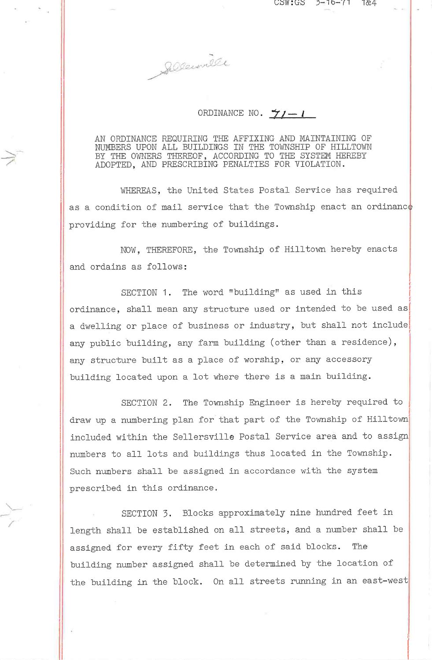Sellenmelle

## ORDINANCE NO.  $\frac{1}{2}$  / -1

AN ORDINANCE REQUIRING THE AFFIXING AND MAINTAINING OF NUMBERS UPON ALL BUILDINGS IN THE TOWNSHIP OF HILLTOWN BY THE OWNERS THEREOF, ACCORDING TO THE SYSTEM HEREBY ADOPTED, AND PRESCRIBING PENALTIES FOR VIOLATION.

WHEREAS, the United States Postal Service has required as a condition of mail service that the Township enact an ordinance providing for the numbering of buildings.

NOW, THEREFORE, the Township of Hilltown hereby enacts and ordains as follows:

SECTION 1. The word "building" as used in this ordinance, shall mean any structure used or intended to be used as a dwelling or place of business or industry, but shall not include any public building, any farm building (other than a residence), any structure built as a place of worship, or any accessory building located upon a lot where there is a main building.

SECTION 2. The Township Engineer is hereby required to draw up a numbering plan for that part of the Township of Hilltown included within the Sellersville Postal Service area and to assign numbers to all lots and buildings thus located in the Township. Such numbers shall be assigned in accordance with the system prescribed in this ordinance.

SECTION 3. Blocks approximately nine hundred feet in length shall be established on all streets, and a number shall be assigned for every fifty feet in each of said blocks. The building number assigned shall be determined by the location of the building in the block. On all streets running in an east-west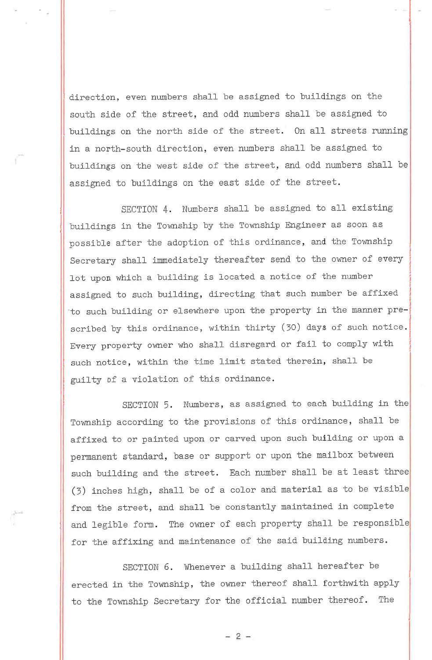direction, even numbers shall be assigned to buildings on the south side of the street, and odd numbers shall be assigned to buildings on the north side of the street. On all streets running in a north-south direction, even numbers shall be assigned to buildings on the west side of the street, and odd numbers shall be assigned to buildings on the east side of the street.

SECTION 4. Numbers shall be assigned to all existing buildings in the Township by the Township Engineer as soon as possible after the adoption of this ordinance, and the Township Secretary shall immediately thereafter send to the owner of every lot upon which a building is located a notice of the number assigned to such building, directing that such number be affixed to such building or elsewhere upon the property in the manner prescribed by this ordinance, within thirty (30) days of such notice. Every property owner who shall disregard or fail to comply with such notice, within the time limit stated therein, shall be guilty of a violation of this ordinance.

SECTION 5. Numbers, as assigned to each building in the Township according to the provisions of this ordinance, shall be affixed to or painted upon or carved upon such building or upon a permanent standard, base or support or upon the mailbox between such building and the street. Each number shall be at least three (3) inches high, shall be of a color and material as to be visible from the street, and shall be constantly maintained in complete and legible form. The owner of each property shall be responsible for the affixing and maintenance of the said building numbers.

SECTION 6. Whenever a building shall hereafter be erected in the Township, the owner thereof shall forthwith apply to the rownship Secretary for the official number thereof. The